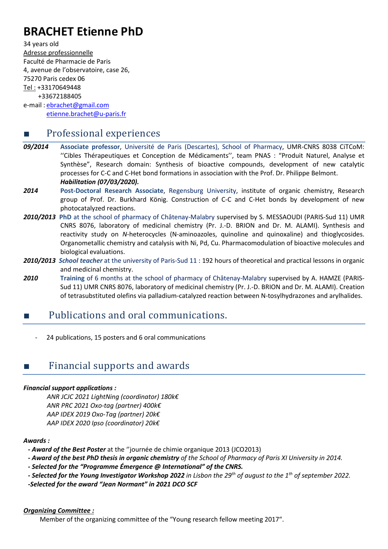# **BRACHET Etienne PhD**

34 years old Adresse professionnelle Faculté de Pharmacie de Paris 4, avenue de l'observatoire, case 26, 75270 Paris cedex 06 Tel : +33170649448 +33672188405 e-mail : [ebrachet@gmail.com](mailto:ebrachet@gmail.com) [etienne.brachet@u-paris.fr](mailto:etienne.brachet@u-paris.fr)

### ■ Professional experiences

- *09/2014* **Associate professor**, Université de Paris (Descartes), School of Pharmacy, UMR-CNRS 8038 CiTCoM: ''Cibles Thérapeutiques et Conception de Médicaments'', team PNAS : "Produit Naturel, Analyse et Synthèse", Research domain: Synthesis of bioactive compounds, development of new catalytic processes for C-C and C-Het bond formations in association with the Prof. Dr. Philippe Belmont. *Habilitation (07/03/2020).*
- *2014* **Post-Doctoral Research Associate**, Regensburg University, institute of organic chemistry, Research group of Prof. Dr. Burkhard König. Construction of C-C and C-Het bonds by development of new photocatalyzed reactions.
- *2010/2013* **PhD** at the school of pharmacy of Châtenay-Malabry supervised by S. MESSAOUDI (PARIS-Sud 11) UMR CNRS 8076, laboratory of medicinal chemistry (Pr. J.-D. BRION and Dr. M. ALAMI). Synthesis and reactivity study on *N*-heterocycles (N-aminoazoles, quinoline and quinoxaline) and thioglycosides. Organometallic chemistry and catalysis with Ni, Pd, Cu. Pharmacomodulation of bioactive molecules and biological evaluations.
- *2010/2013 School teacher* at the university of Paris-Sud 11 : 192 hours of theoretical and practical lessons in organic and medicinal chemistry.
- *2010* **Training** of 6 months at the school of pharmacy of Châtenay-Malabry supervised by A. HAMZE (PARIS-Sud 11) UMR CNRS 8076, laboratory of medicinal chemistry (Pr. J.-D. BRION and Dr. M. ALAMI). Creation of tetrasubstituted olefins via palladium-catalyzed reaction between N-tosylhydrazones and arylhalides.

### Publications and oral communications.

24 publications, 15 posters and 6 oral communications

## Financial supports and awards

#### *Financial support applications :*

*ANR JCJC 2021 LightNing (coordinator) 180k€ ANR PRC 2021 Oxo-tag (partner) 400k€ AAP IDEX 2019 Oxo-Tag (partner) 20k€ AAP IDEX 2020 Ipso (coordinator) 20k€*

#### *Awards :*

*- Award of the Best Poster* at the ''journée de chimie organique 2013 (JCO2013)

*- Award of the best PhD thesis in organic chemistry of the School of Pharmacy of Paris XI University in 2014.*

*- Selected for the "Programme Émergence @ International" of the CNRS.*

*- Selected for the Young Investigator Workshop 2022 in Lisbon the 29th of august to the 1th of september 2022.*

*-Selected for the award "Jean Normant" in 2021 DCO SCF*

#### *Organizing Committee :*

Member of the organizing committee of the "Young research fellow meeting 2017".